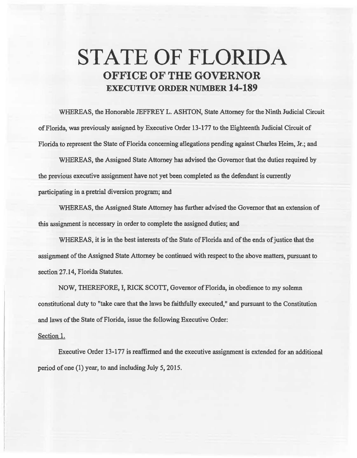## **STATE OF FLORIDA OFFICE OF THE GOVERNOR EXECUTIVE ORDER NUMBER 14-189**

WHEREAS, the Honorable JEFFREY L. ASHTON, State Attorney for the Ninth Judicial Circuit of Florida, was previously assigned by Executive Order 13-177 to the Eighteenth. Judicial Circuit of Florida to represent the State of Florida concerning allegations pending against Charles Heim, Jr.; and

WHEREAS, the Assigned State Attorney has advised the Governor that the duties required by the previous executive assignment have not yet been completed as the defendant is currently participating in a pretrial diversion program; and

WHEREAS, the Assigned State Attorney has further advised the Governor that an extension of this assignment is necessary in order to complete the assigned duties; and

WHEREAS, it is in the best interests of the State of Florida and of the ends of justice that the assignment of the Assigned State Attorney be continued with respect to the above matters, pursuant to section 27.14, Florida Statutes.

NOW, THEREFORE, I, RICK SCOTI, Governor of Florida, in obedience to my solemn constitutional duty to "take care that the laws be faithfully executed," and pursuant to the Constitution and laws of the State of Florida, issue the following Executive Order:

## Section 1.

Executive Order 13-177 is reaffirmed and the executive assignment is extended for an additional period of one (1) year, to and including July 5, 2015.